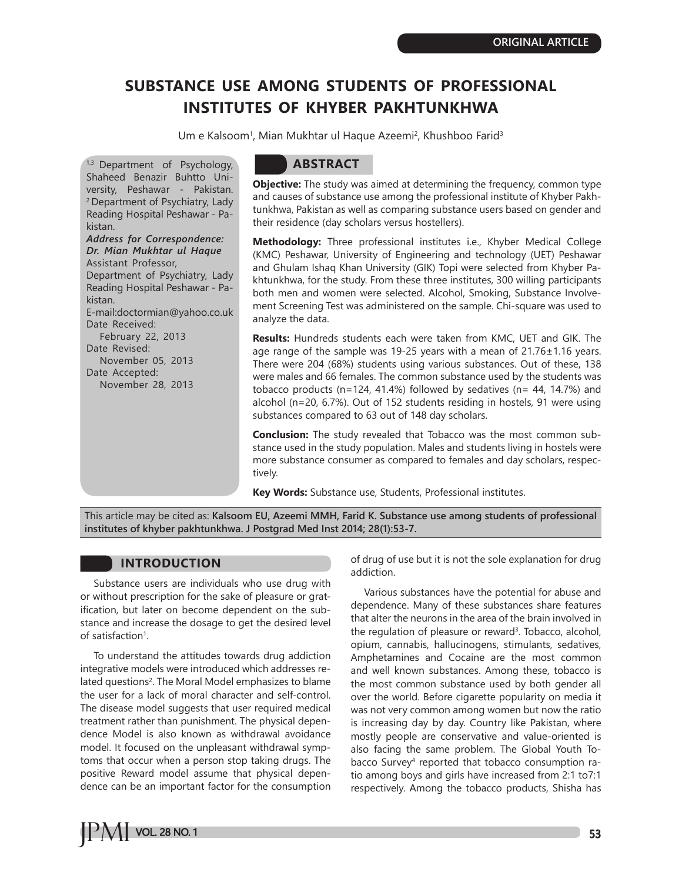# **SUBSTANCE USE AMONG STUDENTS OF PROFESSIONAL INSTITUTES OF KHYBER PAKHTUNKHWA**

Um e Kalsoom<sup>1</sup>, Mian Mukhtar ul Haque Azeemi<sup>2</sup>, Khushboo Farid<sup>3</sup>

1,3 Department of Psychology, Shaheed Benazir Buhtto University, Peshawar - Pakistan. 2 Department of Psychiatry, Lady Reading Hospital Peshawar - Pakistan. *Address for Correspondence: Dr. Mian Mukhtar ul Haque* Assistant Professor, Department of Psychiatry, Lady Reading Hospital Peshawar - Pakistan. E-mail:doctormian@yahoo.co.uk Date Received: February 22, 2013 Date Revised: November 05, 2013 Date Accepted: November 28, 2013

# **ABSTRACT**

**Objective:** The study was aimed at determining the frequency, common type and causes of substance use among the professional institute of Khyber Pakhtunkhwa, Pakistan as well as comparing substance users based on gender and their residence (day scholars versus hostellers).

**Methodology:** Three professional institutes i.e., Khyber Medical College (KMC) Peshawar, University of Engineering and technology (UET) Peshawar and Ghulam Ishaq Khan University (GIK) Topi were selected from Khyber Pakhtunkhwa, for the study. From these three institutes, 300 willing participants both men and women were selected. Alcohol, Smoking, Substance Involvement Screening Test was administered on the sample. Chi-square was used to analyze the data.

**Results:** Hundreds students each were taken from KMC, UET and GIK. The age range of the sample was 19-25 years with a mean of 21.76±1.16 years. There were 204 (68%) students using various substances. Out of these, 138 were males and 66 females. The common substance used by the students was tobacco products (n=124, 41.4%) followed by sedatives (n=  $44$ , 14.7%) and alcohol (n=20, 6.7%). Out of 152 students residing in hostels, 91 were using substances compared to 63 out of 148 day scholars.

**Conclusion:** The study revealed that Tobacco was the most common substance used in the study population. Males and students living in hostels were more substance consumer as compared to females and day scholars, respectively.

**Key Words:** Substance use, Students, Professional institutes.

This article may be cited as: **Kalsoom EU, Azeemi MMH, Farid K. Substance use among students of professional institutes of khyber pakhtunkhwa. J Postgrad Med Inst 2014; 28(1):53-7.**

# **INTRODUCTION**

Substance users are individuals who use drug with or without prescription for the sake of pleasure or gratification, but later on become dependent on the substance and increase the dosage to get the desired level of satisfaction<sup>1</sup>.

To understand the attitudes towards drug addiction integrative models were introduced which addresses related questions<sup>2</sup>. The Moral Model emphasizes to blame the user for a lack of moral character and self-control. The disease model suggests that user required medical treatment rather than punishment. The physical dependence Model is also known as withdrawal avoidance model. It focused on the unpleasant withdrawal symptoms that occur when a person stop taking drugs. The positive Reward model assume that physical dependence can be an important factor for the consumption of drug of use but it is not the sole explanation for drug addiction.

Various substances have the potential for abuse and dependence. Many of these substances share features that alter the neurons in the area of the brain involved in the regulation of pleasure or reward<sup>3</sup>. Tobacco, alcohol, opium, cannabis, hallucinogens, stimulants, sedatives, Amphetamines and Cocaine are the most common and well known substances. Among these, tobacco is the most common substance used by both gender all over the world. Before cigarette popularity on media it was not very common among women but now the ratio is increasing day by day. Country like Pakistan, where mostly people are conservative and value-oriented is also facing the same problem. The Global Youth Tobacco Survey<sup>4</sup> reported that tobacco consumption ratio among boys and girls have increased from 2:1 to7:1 respectively. Among the tobacco products, Shisha has

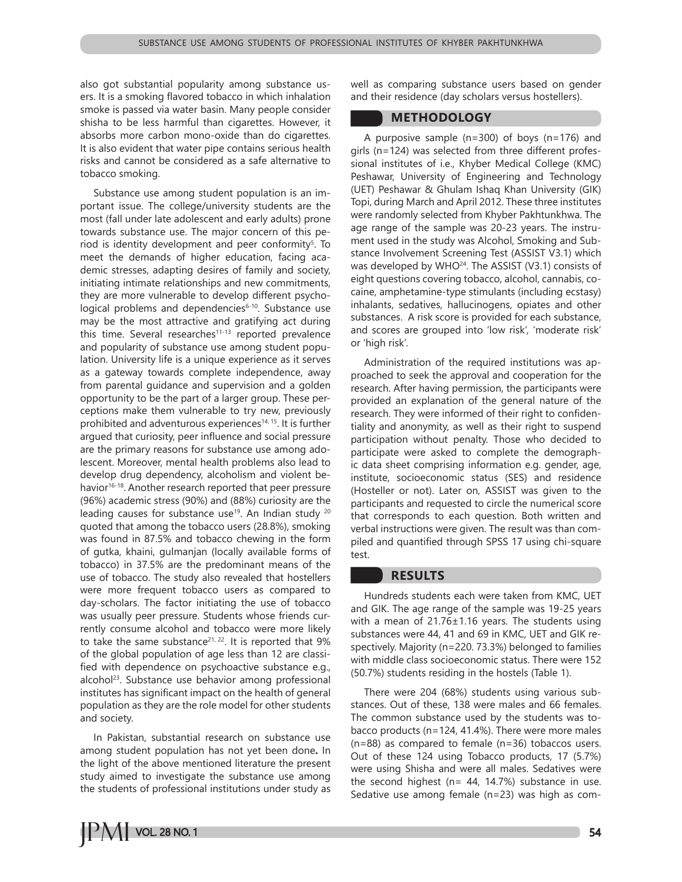also got substantial popularity among substance users. It is a smoking flavored tobacco in which inhalation smoke is passed via water basin. Many people consider shisha to be less harmful than cigarettes. However, it absorbs more carbon mono-oxide than do cigarettes. It is also evident that water pipe contains serious health risks and cannot be considered as a safe alternative to tobacco smoking.

Substance use among student population is an important issue. The college/university students are the most (fall under late adolescent and early adults) prone towards substance use. The major concern of this period is identity development and peer conformity<sup>5</sup>. To meet the demands of higher education, facing academic stresses, adapting desires of family and society, initiating intimate relationships and new commitments, they are more vulnerable to develop different psychological problems and dependencies<sup>6-10</sup>. Substance use may be the most attractive and gratifying act during this time. Several researches<sup>11-13</sup> reported prevalence and popularity of substance use among student population. University life is a unique experience as it serves as a gateway towards complete independence, away from parental guidance and supervision and a golden opportunity to be the part of a larger group. These perceptions make them vulnerable to try new, previously prohibited and adventurous experiences<sup>14, 15</sup>. It is further argued that curiosity, peer influence and social pressure are the primary reasons for substance use among adolescent. Moreover, mental health problems also lead to develop drug dependency, alcoholism and violent behavior<sup>16-18</sup>. Another research reported that peer pressure (96%) academic stress (90%) and (88%) curiosity are the leading causes for substance use<sup>19</sup>. An Indian study <sup>20</sup> quoted that among the tobacco users (28.8%), smoking was found in 87.5% and tobacco chewing in the form of gutka, khaini, gulmanjan (locally available forms of tobacco) in 37.5% are the predominant means of the use of tobacco. The study also revealed that hostellers were more frequent tobacco users as compared to day-scholars. The factor initiating the use of tobacco was usually peer pressure. Students whose friends currently consume alcohol and tobacco were more likely to take the same substance<sup>21, 22</sup>. It is reported that  $9\%$ of the global population of age less than 12 are classified with dependence on psychoactive substance e.g., alcohol<sup>23</sup>. Substance use behavior among professional institutes has significant impact on the health of general population as they are the role model for other students and society.

In Pakistan, substantial research on substance use among student population has not yet been done**.** In the light of the above mentioned literature the present study aimed to investigate the substance use among the students of professional institutions under study as

well as comparing substance users based on gender and their residence (day scholars versus hostellers).

#### **METHODOLOGY**

A purposive sample (n=300) of boys (n=176) and girls (n=124) was selected from three different professional institutes of i.e., Khyber Medical College (KMC) Peshawar, University of Engineering and Technology (UET) Peshawar & Ghulam Ishaq Khan University (GIK) Topi, during March and April 2012. These three institutes were randomly selected from Khyber Pakhtunkhwa. The age range of the sample was 20-23 years. The instrument used in the study was Alcohol, Smoking and Substance Involvement Screening Test (ASSIST V3.1) which was developed by  $WHO^{24}$ . The ASSIST (V3.1) consists of eight questions covering tobacco, alcohol, cannabis, cocaine, amphetamine-type stimulants (including ecstasy) inhalants, sedatives, hallucinogens, opiates and other substances. A risk score is provided for each substance, and scores are grouped into 'low risk', 'moderate risk' or 'high risk'.

Administration of the required institutions was approached to seek the approval and cooperation for the research. After having permission, the participants were provided an explanation of the general nature of the research. They were informed of their right to confidentiality and anonymity, as well as their right to suspend participation without penalty. Those who decided to participate were asked to complete the demographic data sheet comprising information e.g. gender, age, institute, socioeconomic status (SES) and residence (Hosteller or not). Later on, ASSIST was given to the participants and requested to circle the numerical score that corresponds to each question. Both written and verbal instructions were given. The result was than compiled and quantified through SPSS 17 using chi-square test.

## **RESULTS**

Hundreds students each were taken from KMC, UET and GIK. The age range of the sample was 19-25 years with a mean of  $21.76 \pm 1.16$  years. The students using substances were 44, 41 and 69 in KMC, UET and GIK respectively. Majority (n=220. 73.3%) belonged to families with middle class socioeconomic status. There were 152 (50.7%) students residing in the hostels (Table 1).

There were 204 (68%) students using various substances. Out of these, 138 were males and 66 females. The common substance used by the students was tobacco products (n=124, 41.4%). There were more males (n=88) as compared to female (n=36) tobaccos users. Out of these 124 using Tobacco products, 17 (5.7%) were using Shisha and were all males. Sedatives were the second highest ( $n= 44$ , 14.7%) substance in use. Sedative use among female (n=23) was high as com-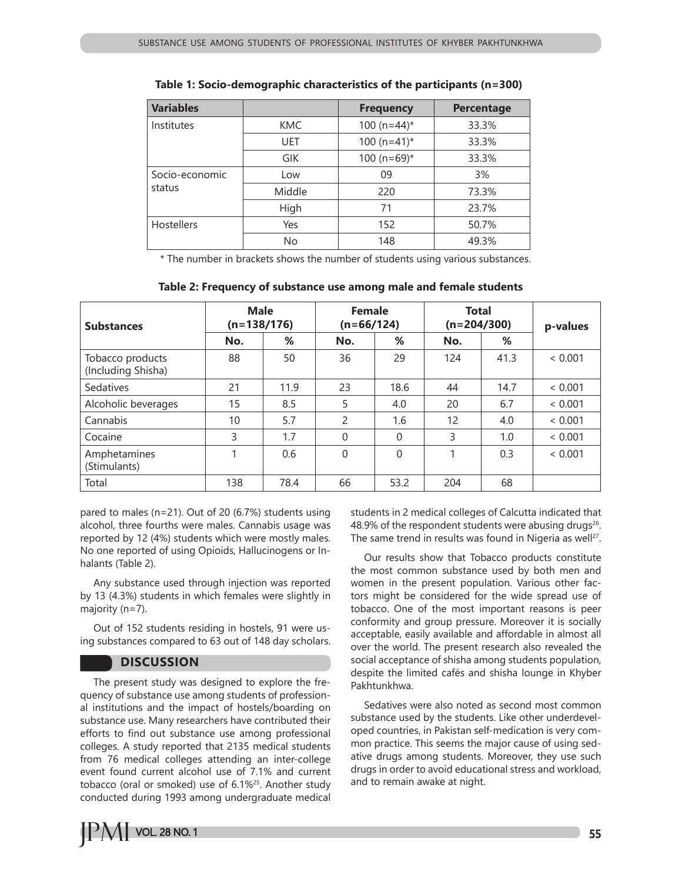| <b>Variables</b>         |            | <b>Frequency</b> | <b>Percentage</b> |
|--------------------------|------------|------------------|-------------------|
| Institutes               | <b>KMC</b> | 100 ( $n=44$ )*  | 33.3%             |
|                          | <b>UET</b> | $100 (n=41)^*$   |                   |
|                          | <b>GIK</b> | $100 (n=69)^*$   | 33.3%             |
| Socio-economic<br>status | Low        | 09               | 3%                |
|                          | Middle     | 220              | 73.3%             |
|                          | High       | 71               | 23.7%             |
| <b>Hostellers</b>        | Yes        | 152              | 50.7%             |
|                          | No         | 148              | 49.3%             |

**Table 1: Socio-demographic characteristics of the participants (n=300)**

\* The number in brackets shows the number of students using various substances.

| <b>Substances</b>                      | <b>Male</b><br>$(n=138/176)$ |      | <b>Female</b><br>$(n=66/124)$ |          | <b>Total</b><br>$(n=204/300)$ |      | p-values |  |
|----------------------------------------|------------------------------|------|-------------------------------|----------|-------------------------------|------|----------|--|
|                                        | No.                          | %    | No.                           | %        | No.                           | %    |          |  |
| Tobacco products<br>(Including Shisha) | 88                           | 50   | 36                            | 29       | 124                           | 41.3 | < 0.001  |  |
| <b>Sedatives</b>                       | 21                           | 11.9 | 23                            | 18.6     | 44                            | 14.7 | < 0.001  |  |
| Alcoholic beverages                    | 15                           | 8.5  | 5                             | 4.0      | 20                            | 6.7  | < 0.001  |  |
| Cannabis                               | 10                           | 5.7  | $\overline{2}$                | 1.6      | 12                            | 4.0  | < 0.001  |  |
| Cocaine                                | 3                            | 1.7  | $\Omega$                      | $\theta$ | 3                             | 1.0  | < 0.001  |  |
| Amphetamines<br>(Stimulants)           |                              | 0.6  | $\Omega$                      | $\Omega$ |                               | 0.3  | < 0.001  |  |
| Total                                  | 138                          | 78.4 | 66                            | 53.2     | 204                           | 68   |          |  |

| Table 2: Frequency of substance use among male and female students |  |  |  |  |  |
|--------------------------------------------------------------------|--|--|--|--|--|
|--------------------------------------------------------------------|--|--|--|--|--|

pared to males (n=21). Out of 20 (6.7%) students using alcohol, three fourths were males. Cannabis usage was reported by 12 (4%) students which were mostly males. No one reported of using Opioids, Hallucinogens or Inhalants (Table 2).

Any substance used through injection was reported by 13 (4.3%) students in which females were slightly in majority (n=7).

Out of 152 students residing in hostels, 91 were using substances compared to 63 out of 148 day scholars.

## **DISCUSSION**

The present study was designed to explore the frequency of substance use among students of professional institutions and the impact of hostels/boarding on substance use. Many researchers have contributed their efforts to find out substance use among professional colleges. A study reported that 2135 medical students from 76 medical colleges attending an inter-college event found current alcohol use of 7.1% and current tobacco (oral or smoked) use of 6.1%25. Another study conducted during 1993 among undergraduate medical

students in 2 medical colleges of Calcutta indicated that 48.9% of the respondent students were abusing drugs<sup>26</sup>. The same trend in results was found in Nigeria as well<sup>27</sup>.

Our results show that Tobacco products constitute the most common substance used by both men and women in the present population. Various other factors might be considered for the wide spread use of tobacco. One of the most important reasons is peer conformity and group pressure. Moreover it is socially acceptable, easily available and affordable in almost all over the world. The present research also revealed the social acceptance of shisha among students population, despite the limited cafés and shisha lounge in Khyber Pakhtunkhwa.

Sedatives were also noted as second most common substance used by the students. Like other underdeveloped countries, in Pakistan self-medication is very common practice. This seems the major cause of using sedative drugs among students. Moreover, they use such drugs in order to avoid educational stress and workload, and to remain awake at night.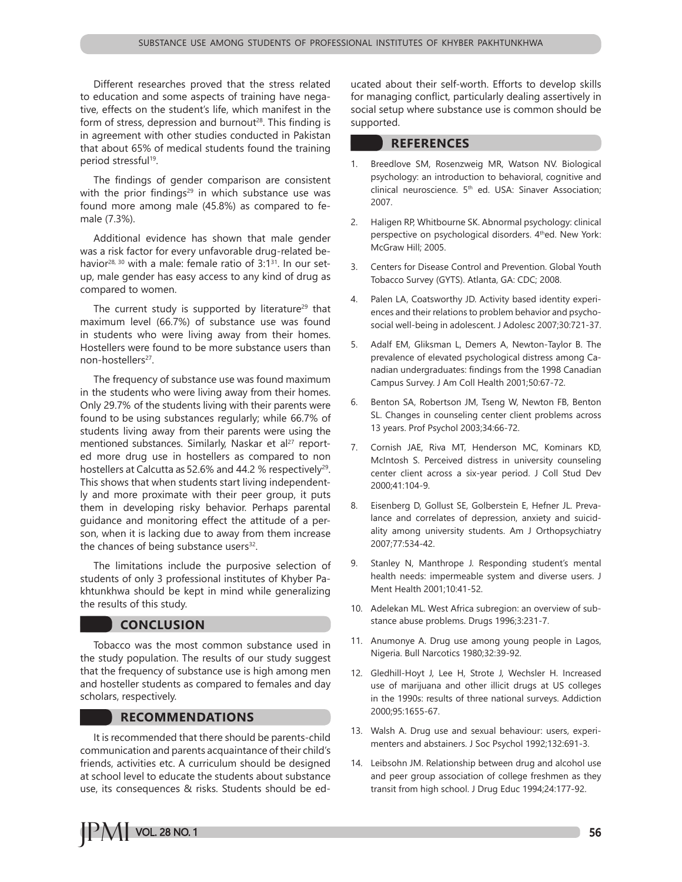Different researches proved that the stress related to education and some aspects of training have negative, effects on the student's life, which manifest in the form of stress, depression and burnout<sup>28</sup>. This finding is in agreement with other studies conducted in Pakistan that about 65% of medical students found the training period stressful<sup>19</sup>.

The findings of gender comparison are consistent with the prior findings<sup>29</sup> in which substance use was found more among male (45.8%) as compared to female (7.3%).

Additional evidence has shown that male gender was a risk factor for every unfavorable drug-related behavior<sup>28, 30</sup> with a male: female ratio of  $3:1^{31}$ . In our setup, male gender has easy access to any kind of drug as compared to women.

The current study is supported by literature<sup>29</sup> that maximum level (66.7%) of substance use was found in students who were living away from their homes. Hostellers were found to be more substance users than non-hostellers<sup>27</sup>.

The frequency of substance use was found maximum in the students who were living away from their homes. Only 29.7% of the students living with their parents were found to be using substances regularly; while 66.7% of students living away from their parents were using the mentioned substances. Similarly, Naskar et al<sup>27</sup> reported more drug use in hostellers as compared to non hostellers at Calcutta as 52.6% and 44.2 % respectively<sup>29</sup>. This shows that when students start living independently and more proximate with their peer group, it puts them in developing risky behavior. Perhaps parental guidance and monitoring effect the attitude of a person, when it is lacking due to away from them increase the chances of being substance users $32$ .

The limitations include the purposive selection of students of only 3 professional institutes of Khyber Pakhtunkhwa should be kept in mind while generalizing the results of this study.

## **CONCLUSION**

Tobacco was the most common substance used in the study population. The results of our study suggest that the frequency of substance use is high among men and hosteller students as compared to females and day scholars, respectively.

## **RECOMMENDATIONS**

It is recommended that there should be parents-child communication and parents acquaintance of their child's friends, activities etc. A curriculum should be designed at school level to educate the students about substance use, its consequences & risks. Students should be educated about their self-worth. Efforts to develop skills for managing conflict, particularly dealing assertively in social setup where substance use is common should be supported.

## **REFERENCES**

- 1. Breedlove SM, Rosenzweig MR, Watson NV. Biological psychology: an introduction to behavioral, cognitive and clinical neuroscience. 5<sup>th</sup> ed. USA: Sinaver Association; 2007.
- 2. Haligen RP, Whitbourne SK. Abnormal psychology: clinical perspective on psychological disorders. 4<sup>th</sup>ed. New York: McGraw Hill; 2005.
- 3. Centers for Disease Control and Prevention. Global Youth Tobacco Survey (GYTS). Atlanta, GA: CDC; 2008.
- Palen LA, Coatsworthy JD. Activity based identity experiences and their relations to problem behavior and psychosocial well-being in adolescent. J Adolesc 2007;30:721-37.
- 5. Adalf EM, Gliksman L, Demers A, Newton-Taylor B. The prevalence of elevated psychological distress among Canadian undergraduates: findings from the 1998 Canadian Campus Survey. J Am Coll Health 2001;50:67-72.
- 6. Benton SA, Robertson JM, Tseng W, Newton FB, Benton SL. Changes in counseling center client problems across 13 years. Prof Psychol 2003;34:66-72.
- 7. Cornish JAE, Riva MT, Henderson MC, Kominars KD, McIntosh S. Perceived distress in university counseling center client across a six-year period. J Coll Stud Dev 2000;41:104-9.
- 8. Eisenberg D, Gollust SE, Golberstein E, Hefner JL. Prevalance and correlates of depression, anxiety and suicidality among university students. Am J Orthopsychiatry 2007;77:534-42.
- 9. Stanley N, Manthrope J. Responding student's mental health needs: impermeable system and diverse users. J Ment Health 2001;10:41-52.
- 10. Adelekan ML. West Africa subregion: an overview of substance abuse problems. Drugs 1996;3:231-7.
- 11. Anumonye A. Drug use among young people in Lagos, Nigeria. Bull Narcotics 1980;32:39-92.
- 12. Gledhill-Hoyt J, Lee H, Strote J, Wechsler H. Increased use of marijuana and other illicit drugs at US colleges in the 1990s: results of three national surveys. Addiction 2000;95:1655-67.
- 13. Walsh A. Drug use and sexual behaviour: users, experimenters and abstainers. J Soc Psychol 1992;132:691-3.
- 14. Leibsohn JM. Relationship between drug and alcohol use and peer group association of college freshmen as they transit from high school. J Drug Educ 1994;24:177-92.